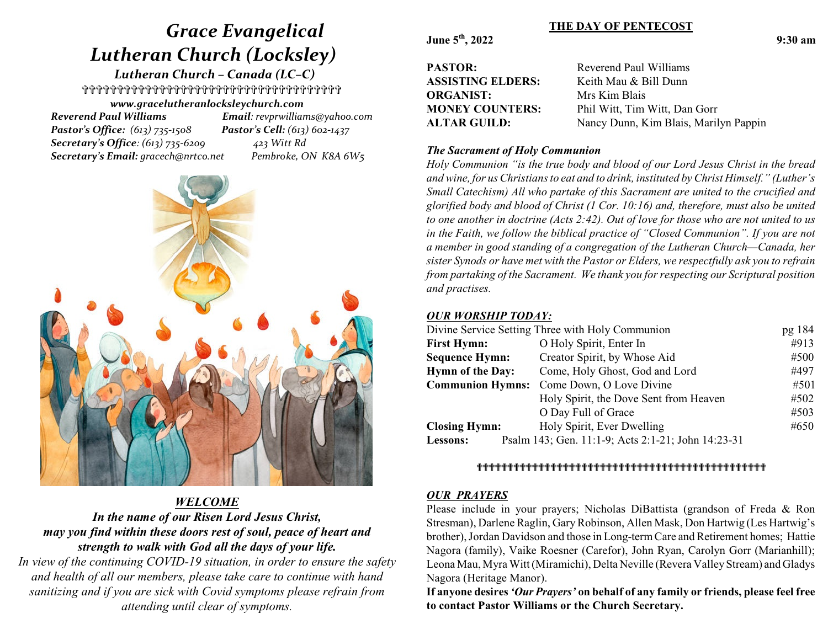# *Grace Evangelical Lutheran Church (Locksley)*

 *Lutheran Church – Canada (LC–C)* \_\_\_\_\_\_\_\_\_\_\_\_\_\_\_\_\_\_\_\_\_\_\_\_\_\_\_\_\_\_\_\_\_\_\_\_\_ *www.gracelutheranlocksleychurch.com*

 *Reverend Paul Williams Email: revprwilliams@yahoo.com Pastor's Office: (613) 735-1508 Pastor's Cell: (613) 602-1437 Secretary's Office: (613) 735-6209 423 Witt Rd Secretary's Email: gracech@nrtco.net Pembroke, ON K8A 6W5*



# *WELCOME In the name of our Risen Lord Jesus Christ, may you find within these doors rest of soul, peace of heart and strength to walk with God all the days of your life.*

*In view of the continuing COVID-19 situation, in order to ensure the safety and health of all our members, please take care to continue with hand sanitizing and if you are sick with Covid symptoms please refrain from attending until clear of symptoms.*

#### **THE DAY OF PENTECOST**

**June 5 th**

| <b>PASTOR:</b>           | Reverend Paul Williams                |
|--------------------------|---------------------------------------|
| <b>ASSISTING ELDERS:</b> | Keith Mau & Bill Dunn                 |
| <b>ORGANIST:</b>         | Mrs Kim Blais                         |
| <b>MONEY COUNTERS:</b>   | Phil Witt, Tim Witt, Dan Gorr         |
| <b>ALTAR GUILD:</b>      | Nancy Dunn, Kim Blais, Marilyn Pappin |

## *The Sacrament of Holy Communion*

*Holy Communion "is the true body and blood of our Lord Jesus Christ in the bread and wine, for us Christians to eat and to drink, instituted by Christ Himself." (Luther's Small Catechism) All who partake of this Sacrament are united to the crucified and glorified body and blood of Christ (1 Cor. 10:16) and, therefore, must also be united to one another in doctrine (Acts 2:42). Out of love for those who are not united to us in the Faith, we follow the biblical practice of "Closed Communion". If you are not a member in good standing of a congregation of the Lutheran Church—Canada, her sister Synods or have met with the Pastor or Elders, we respectfully ask you to refrain from partaking of the Sacrament. We thank you for respecting our Scriptural position and practises.*

### *OUR WORSHIP TODAY:*

| Divine Service Setting Three with Holy Communion |                                                    | pg 184 |
|--------------------------------------------------|----------------------------------------------------|--------|
| <b>First Hymn:</b>                               | O Holy Spirit, Enter In                            | #913   |
| <b>Sequence Hymn:</b>                            | Creator Spirit, by Whose Aid                       |        |
| <b>Hymn of the Day:</b>                          | Come, Holy Ghost, God and Lord                     | #497   |
| <b>Communion Hymns:</b>                          | Come Down, O Love Divine                           | #501   |
|                                                  | Holy Spirit, the Dove Sent from Heaven             | #502   |
|                                                  | O Day Full of Grace                                | #503   |
| <b>Closing Hymn:</b>                             | Holy Spirit, Ever Dwelling                         | #650   |
| Lessons:                                         | Psalm 143; Gen. 11:1-9; Acts 2:1-21; John 14:23-31 |        |

## ```````````````````````````````````````````````

#### *OUR PRAYERS*

Please include in your prayers; Nicholas DiBattista (grandson of Freda & Ron Stresman), Darlene Raglin, GaryRobinson, Allen Mask, Don Hartwig (Les Hartwig's brother), Jordan Davidson and those in Long-termCare and Retirement homes; Hattie Nagora (family), Vaike Roesner (Carefor), John Ryan, Carolyn Gorr (Marianhill); Leona Mau, Myra Witt(Miramichi), Delta Neville (Revera ValleyStream) and Gladys Nagora (Heritage Manor).

**If anyone desires** *'Our Prayers'* **on behalf of any family or friends, please feel free to contact Pastor Williams or the Church Secretary.**

**, 2022 9:30 am**